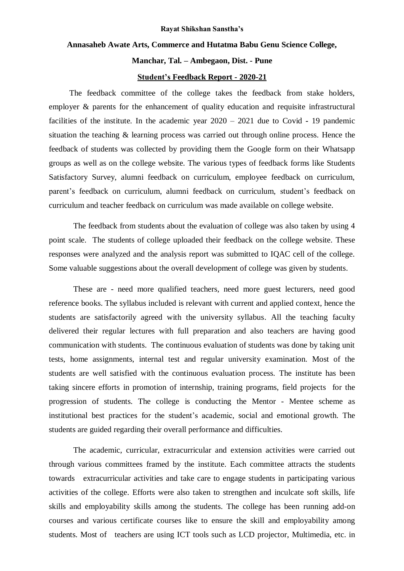#### **Rayat Shikshan Sanstha's**

### **Annasaheb Awate Arts, Commerce and Hutatma Babu Genu Science College,**

#### **Manchar, Tal. – Ambegaon, Dist. - Pune**

#### **Student's Feedback Report - 2020-21**

 The feedback committee of the college takes the feedback from stake holders, employer & parents for the enhancement of quality education and requisite infrastructural facilities of the institute. In the academic year 2020 – 2021 due to Covid **-** 19 pandemic situation the teaching & learning process was carried out through online process. Hence the feedback of students was collected by providing them the Google form on their Whatsapp groups as well as on the college website. The various types of feedback forms like Students Satisfactory Survey, alumni feedback on curriculum, employee feedback on curriculum, parent's feedback on curriculum, alumni feedback on curriculum, student's feedback on curriculum and teacher feedback on curriculum was made available on college website.

The feedback from students about the evaluation of college was also taken by using 4 point scale. The students of college uploaded their feedback on the college website. These responses were analyzed and the analysis report was submitted to IQAC cell of the college. Some valuable suggestions about the overall development of college was given by students.

These are - need more qualified teachers, need more guest lecturers, need good reference books. The syllabus included is relevant with current and applied context, hence the students are satisfactorily agreed with the university syllabus. All the teaching faculty delivered their regular lectures with full preparation and also teachers are having good communication with students. The continuous evaluation of students was done by taking unit tests, home assignments, internal test and regular university examination. Most of the students are well satisfied with the continuous evaluation process. The institute has been taking sincere efforts in promotion of internship, training programs, field projects for the progression of students. The college is conducting the Mentor - Mentee scheme as institutional best practices for the student's academic, social and emotional growth. The students are guided regarding their overall performance and difficulties.

The academic, curricular, extracurricular and extension activities were carried out through various committees framed by the institute. Each committee attracts the students towards extracurricular activities and take care to engage students in participating various activities of the college. Efforts were also taken to strengthen and inculcate soft skills, life skills and employability skills among the students. The college has been running add-on courses and various certificate courses like to ensure the skill and employability among students. Most of teachers are using ICT tools such as LCD projector, Multimedia, etc. in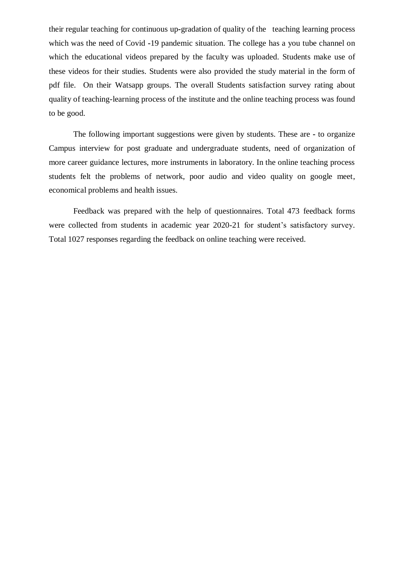their regular teaching for continuous up**-**gradation of quality of the teaching learning process which was the need of Covid **-**19 pandemic situation. The college has a you tube channel on which the educational videos prepared by the faculty was uploaded. Students make use of these videos for their studies. Students were also provided the study material in the form of pdf file. On their Watsapp groups. The overall Students satisfaction survey rating about quality of teaching-learning process of the institute and the online teaching process was found to be good.

The following important suggestions were given by students. These are **-** to organize Campus interview for post graduate and undergraduate students, need of organization of more career guidance lectures, more instruments in laboratory. In the online teaching process students felt the problems of network, poor audio and video quality on google meet, economical problems and health issues.

Feedback was prepared with the help of questionnaires. Total 473 feedback forms were collected from students in academic year 2020-21 for student's satisfactory survey. Total 1027 responses regarding the feedback on online teaching were received.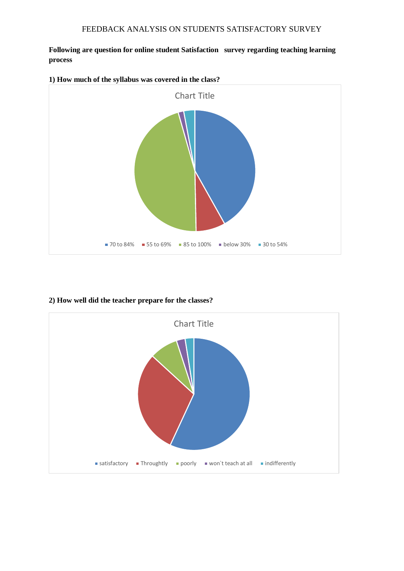**Following are question for online student Satisfaction survey regarding teaching learning process** 



## **2) How well did the teacher prepare for the classes?**

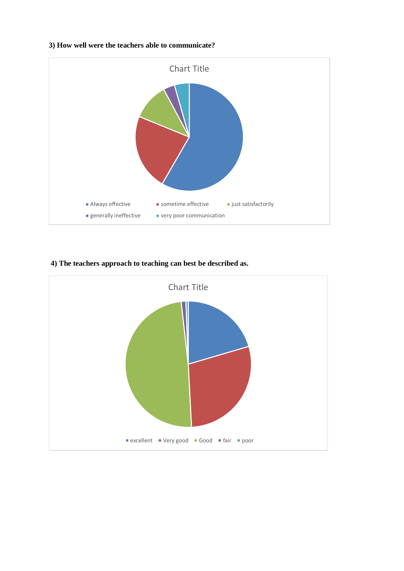#### **3) How well were the teachers able to communicate?**



### **4) The teachers approach to teaching can best be described as.**

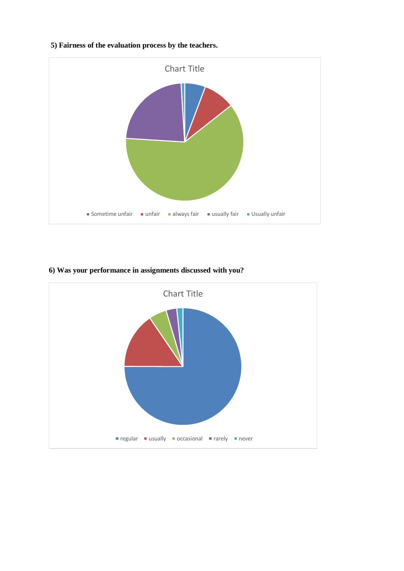## **5) Fairness of the evaluation process by the teachers.**



## **6) Was your performance in assignments discussed with you?**

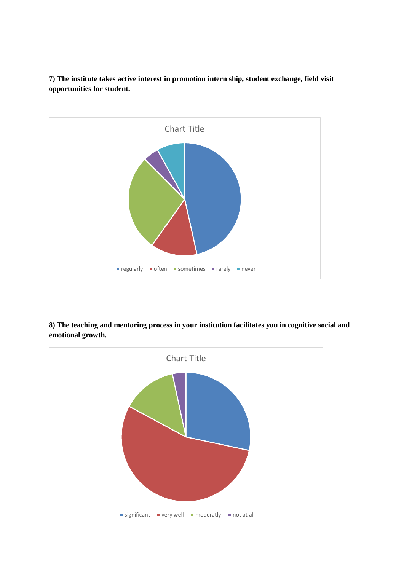



**8) The teaching and mentoring process in your institution facilitates you in cognitive social and emotional growth.** 

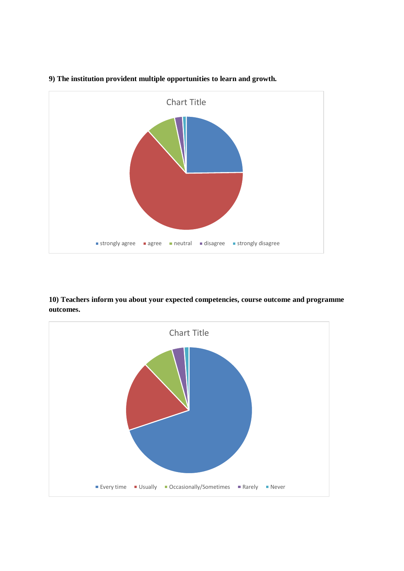

## **9) The institution provident multiple opportunities to learn and growth.**

**10) Teachers inform you about your expected competencies, course outcome and programme outcomes.**

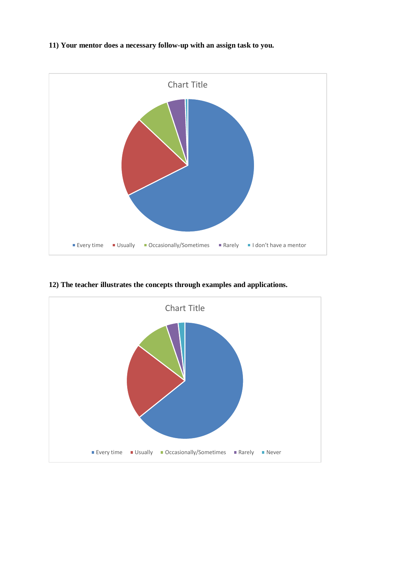## **11) Your mentor does a necessary follow-up with an assign task to you.**



**12) The teacher illustrates the concepts through examples and applications.**

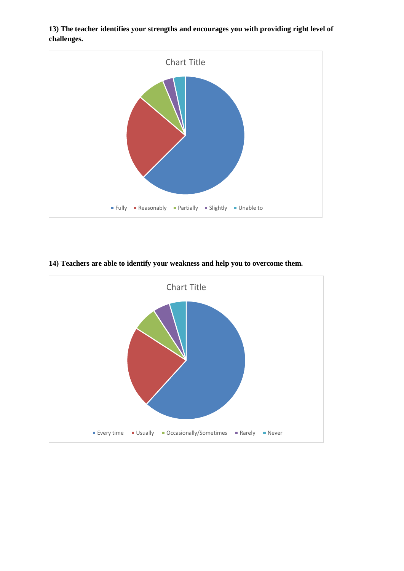

**13) The teacher identifies your strengths and encourages you with providing right level of challenges.**

### **14) Teachers are able to identify your weakness and help you to overcome them.**

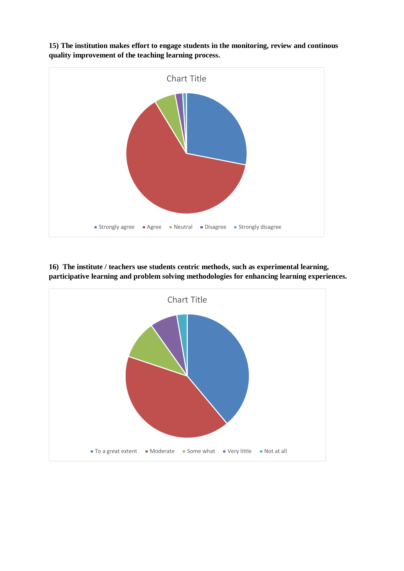

**15) The institution makes effort to engage students in the monitoring, review and continous quality improvement of the teaching learning process.** 

**16) The institute / teachers use students centric methods, such as experimental learning, participative learning and problem solving methodologies for enhancing learning experiences.**

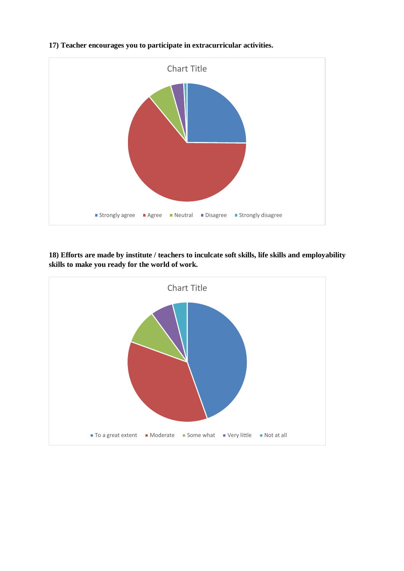

### **17) Teacher encourages you to participate in extracurricular activities.**

**18) Efforts are made by institute / teachers to inculcate soft skills, life skills and employability skills to make you ready for the world of work.**

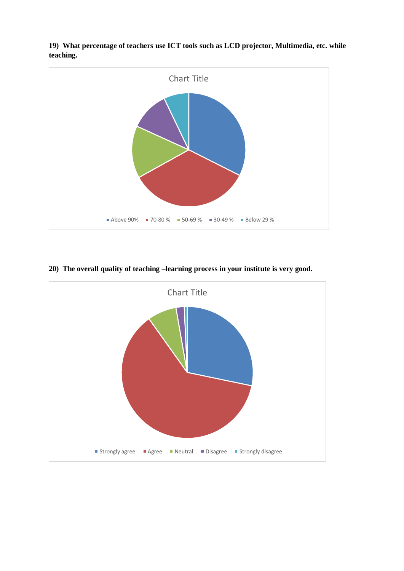

**19) What percentage of teachers use ICT tools such as LCD projector, Multimedia, etc. while teaching.**

## **20) The overall quality of teaching –learning process in your institute is very good.**

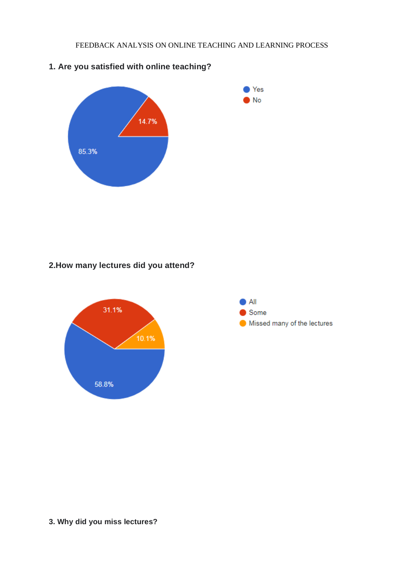

# **1. Are you satisfied with online teaching?**

## **2.How many lectures did you attend?**





## **3. Why did you miss lectures?**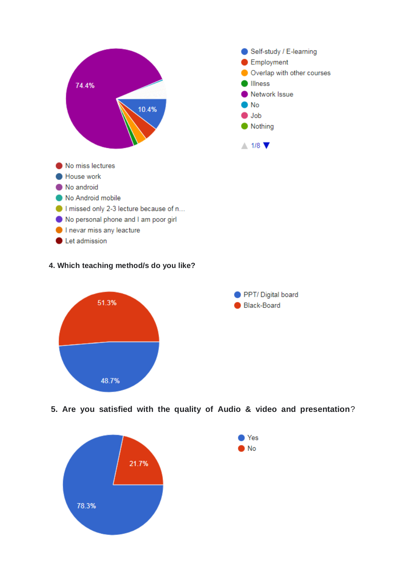

### **4. Which teaching method/s do you like?**



**5. Are you satisfied with the quality of Audio & video and presentation**?

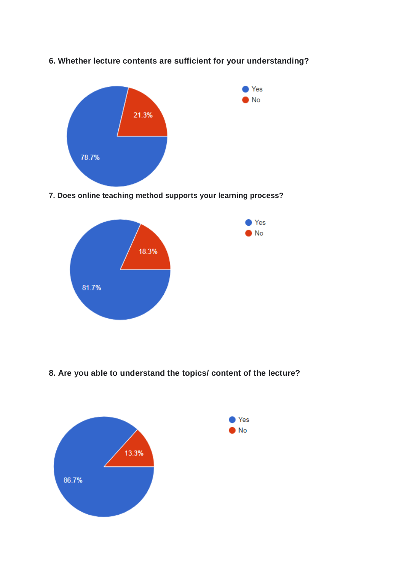

# **6. Whether lecture contents are sufficient for your understanding?**

**7. Does online teaching method supports your learning process?**



**8. Are you able to understand the topics/ content of the lecture?**